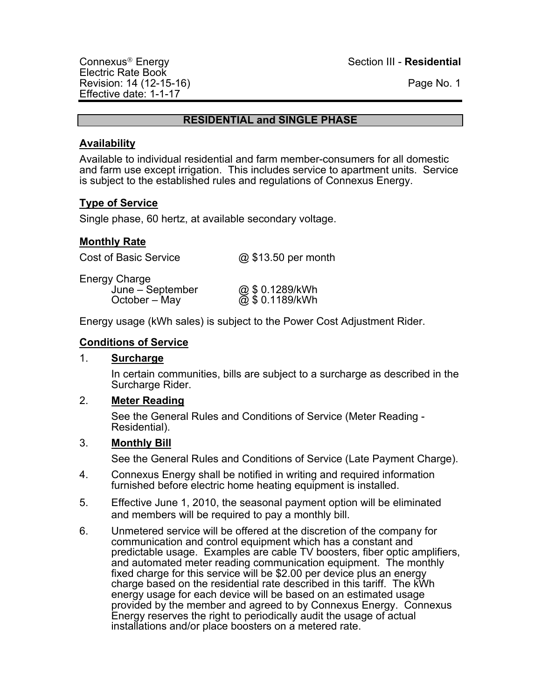Electric Rate Book Revision: 14 (12-15-16) Revision: 14 (12-15-16) Effective date: 1-1-17

Connexus<sup>Ò</sup> Energy Section III - **Residential**

#### **RESIDENTIAL and SINGLE PHASE**

#### **Availability**

Available to individual residential and farm member-consumers for all domestic and farm use except irrigation. This includes service to apartment units. Service is subject to the established rules and regulations of Connexus Energy.

# **Type of Service**

Single phase, 60 hertz, at available secondary voltage.

#### **Monthly Rate**

Cost of Basic Service  $\qquad \qquad \textcircled{a}$  \$13.50 per month

Energy Charge June – September @ \$ 0.1289/kWh October – May  $\overline{Q}$ , \$ 0.1189/kWh

Energy usage (kWh sales) is subject to the Power Cost Adjustment Rider.

#### **Conditions of Service**

## 1. **Surcharge**

In certain communities, bills are subject to a surcharge as described in the Surcharge Rider.

## 2. **Meter Reading**

See the General Rules and Conditions of Service (Meter Reading - Residential).

## 3. **Monthly Bill**

- 4. Connexus Energy shall be notified in writing and required information furnished before electric home heating equipment is installed.
- 5. Effective June 1, 2010, the seasonal payment option will be eliminated and members will be required to pay a monthly bill.
- 6. Unmetered service will be offered at the discretion of the company for communication and control equipment which has a constant and predictable usage. Examples are cable TV boosters, fiber optic amplifiers, and automated meter reading communication equipment. The monthly fixed charge for this service will be \$2.00 per device plus an energy charge based on the residential rate described in this tariff. The kWh energy usage for each device will be based on an estimated usage provided by the member and agreed to by Connexus Energy. Connexus Energy reserves the right to periodically audit the usage of actual installations and/or place boosters on a metered rate.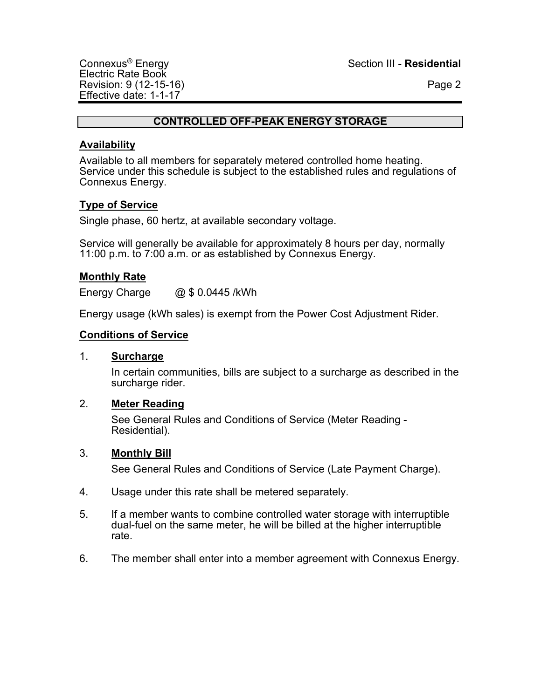#### **CONTROLLED OFF-PEAK ENERGY STORAGE**

#### **Availability**

Available to all members for separately metered controlled home heating. Service under this schedule is subject to the established rules and regulations of Connexus Energy.

#### **Type of Service**

Single phase, 60 hertz, at available secondary voltage.

Service will generally be available for approximately 8 hours per day, normally 11:00 p.m. to 7:00 a.m. or as established by Connexus Energy.

#### **Monthly Rate**

Energy Charge @ \$ 0.0445 /kWh

Energy usage (kWh sales) is exempt from the Power Cost Adjustment Rider.

#### **Conditions of Service**

#### 1. **Surcharge**

In certain communities, bills are subject to a surcharge as described in the surcharge rider.

#### 2. **Meter Reading**

See General Rules and Conditions of Service (Meter Reading - Residential).

#### 3. **Monthly Bill**

- 4. Usage under this rate shall be metered separately.
- 5. If a member wants to combine controlled water storage with interruptible dual-fuel on the same meter, he will be billed at the higher interruptible rate.
- 6. The member shall enter into a member agreement with Connexus Energy.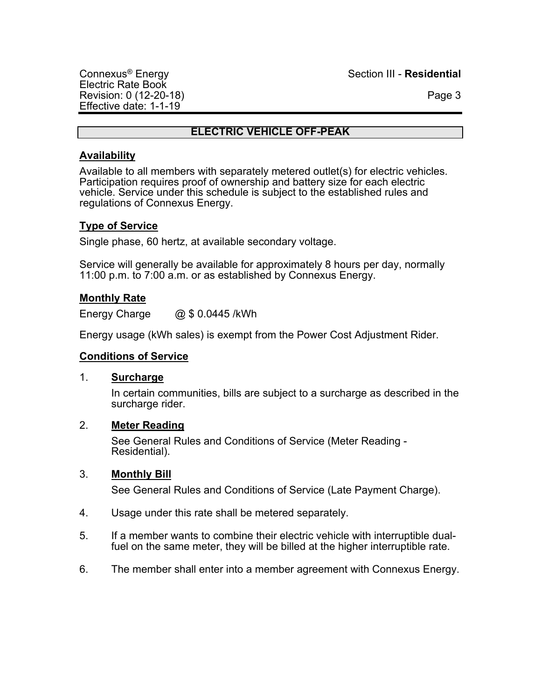Connexus® Energy Section III - **Residential**

# **ELECTRIC VEHICLE OFF-PEAK**

## **Availability**

Available to all members with separately metered outlet(s) for electric vehicles. Participation requires proof of ownership and battery size for each electric vehicle. Service under this schedule is subject to the established rules and regulations of Connexus Energy.

# **Type of Service**

Single phase, 60 hertz, at available secondary voltage.

Service will generally be available for approximately 8 hours per day, normally 11:00 p.m. to 7:00 a.m. or as established by Connexus Energy.

# **Monthly Rate**

Energy Charge @ \$ 0.0445 /kWh

Energy usage (kWh sales) is exempt from the Power Cost Adjustment Rider.

## **Conditions of Service**

## 1. **Surcharge**

In certain communities, bills are subject to a surcharge as described in the surcharge rider.

## 2. **Meter Reading**

See General Rules and Conditions of Service (Meter Reading - Residential).

## 3. **Monthly Bill**

- 4. Usage under this rate shall be metered separately.
- 5. If a member wants to combine their electric vehicle with interruptible dualfuel on the same meter, they will be billed at the higher interruptible rate.
- 6. The member shall enter into a member agreement with Connexus Energy.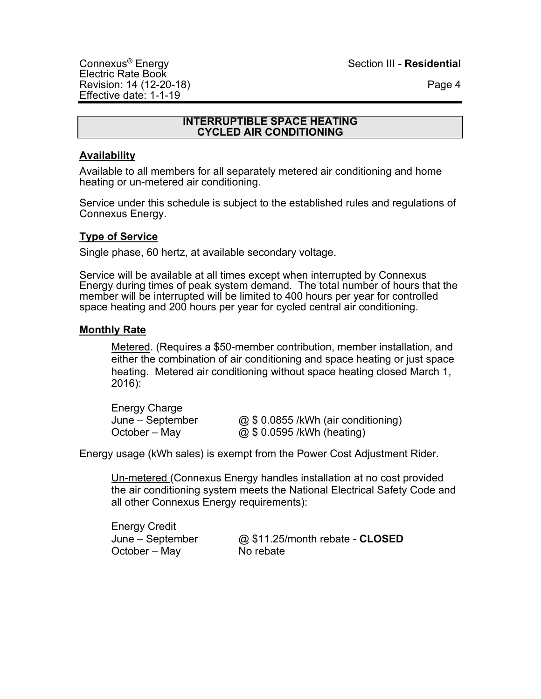#### **INTERRUPTIBLE SPACE HEATING CYCLED AIR CONDITIONING**

## **Availability**

Available to all members for all separately metered air conditioning and home heating or un-metered air conditioning.

Service under this schedule is subject to the established rules and regulations of Connexus Energy.

# **Type of Service**

Single phase, 60 hertz, at available secondary voltage.

Service will be available at all times except when interrupted by Connexus Energy during times of peak system demand. The total number of hours that the member will be interrupted will be limited to 400 hours per year for controlled space heating and 200 hours per year for cycled central air conditioning.

## **Monthly Rate**

Metered. (Requires a \$50-member contribution, member installation, and either the combination of air conditioning and space heating or just space heating. Metered air conditioning without space heating closed March 1, 2016):

Energy Charge

June – September @ \$ 0.0855 /kWh (air conditioning) October – May  $@ $ 0.0595 / kWh (heating)$ 

Energy usage (kWh sales) is exempt from the Power Cost Adjustment Rider.

Un-metered (Connexus Energy handles installation at no cost provided the air conditioning system meets the National Electrical Safety Code and all other Connexus Energy requirements):

Energy Credit October – May No rebate

June – September @ \$11.25/month rebate - **CLOSED**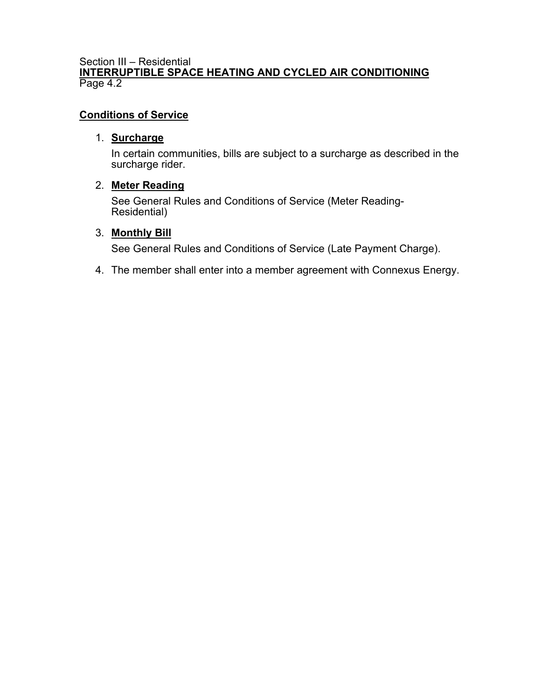#### Section III – Residential **INTERRUPTIBLE SPACE HEATING AND CYCLED AIR CONDITIONING** Page 4.2

# **Conditions of Service**

## 1. **Surcharge**

In certain communities, bills are subject to a surcharge as described in the surcharge rider.

## 2. **Meter Reading**

See General Rules and Conditions of Service (Meter Reading-Residential)

## 3. **Monthly Bill**

See General Rules and Conditions of Service (Late Payment Charge).

4. The member shall enter into a member agreement with Connexus Energy.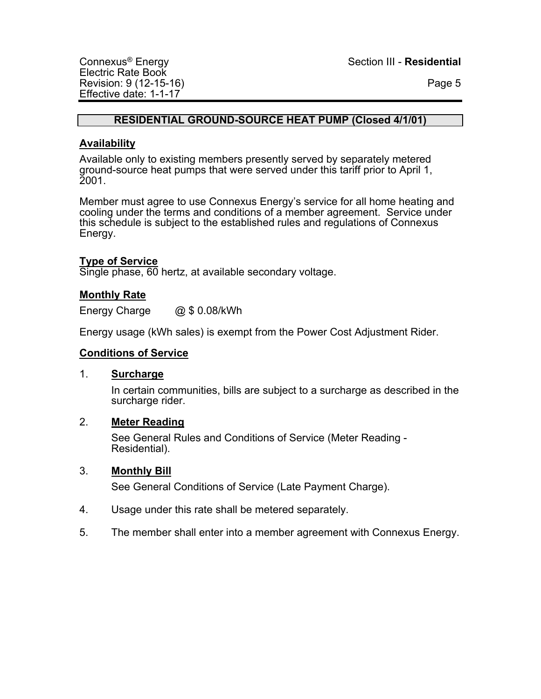## **RESIDENTIAL GROUND-SOURCE HEAT PUMP (Closed 4/1/01)**

## **Availability**

Available only to existing members presently served by separately metered ground-source heat pumps that were served under this tariff prior to April 1, 2001.

Member must agree to use Connexus Energy's service for all home heating and cooling under the terms and conditions of a member agreement. Service under this schedule is subject to the established rules and regulations of Connexus Energy.

# **Type of Service**

Single phase, 60 hertz, at available secondary voltage.

# **Monthly Rate**

Energy Charge @ \$ 0.08/kWh

Energy usage (kWh sales) is exempt from the Power Cost Adjustment Rider.

## **Conditions of Service**

#### 1. **Surcharge**

In certain communities, bills are subject to a surcharge as described in the surcharge rider.

## 2. **Meter Reading**

See General Rules and Conditions of Service (Meter Reading -<br>Residential).

## 3. **Monthly Bill**

- 4. Usage under this rate shall be metered separately.
- 5. The member shall enter into a member agreement with Connexus Energy.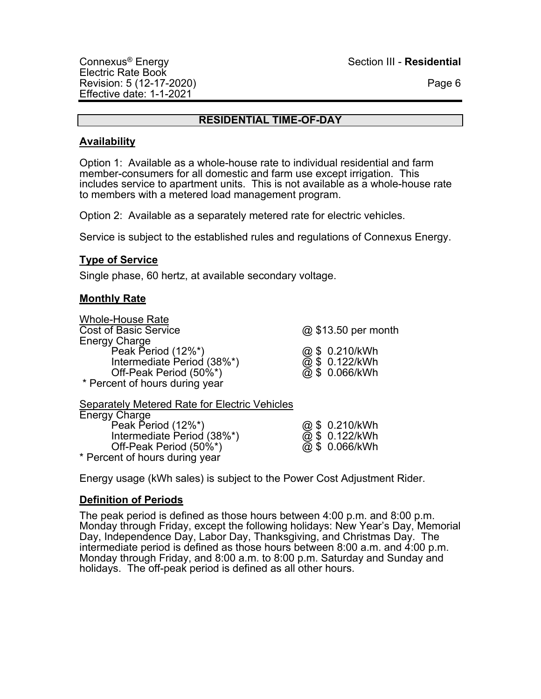## **RESIDENTIAL TIME-OF-DAY**

#### **Availability**

Option 1: Available as a whole-house rate to individual residential and farm member-consumers for all domestic and farm use except irrigation. This includes service to apartment units. This is not available as a whole-house rate to members with a metered load management program.

Option 2: Available as a separately metered rate for electric vehicles.

Service is subject to the established rules and regulations of Connexus Energy.

## **Type of Service**

Single phase, 60 hertz, at available secondary voltage.

# **Monthly Rate**

Whole-House Rate Cost of Basic Service @ \$13.50 per month Energy Charge Peak Period (12%\*)  $\qquad \qquad \qquad \textcircled{3} \text{ $6.210/kWh}$$ Intermediate Period  $(38\%^{\star})$ Off-Peak Period  $(50\%^*)$ \* Percent of hours during year

| @ \$0.210/KVVh |
|----------------|
| @ \$_0.122/kWh |
| @ \$_0.066/kWh |

Separately Metered Rate for Electric Vehicles Energy Charge Peak Period (12%\*) @ \$ 0.210/kWh Intermediate Period (38%\*) @ \$ 0.122/kWh Off-Peak Period  $(50\%^*)$ \* Percent of hours during year

Energy usage (kWh sales) is subject to the Power Cost Adjustment Rider.

# **Definition of Periods**

The peak period is defined as those hours between 4:00 p.m. and 8:00 p.m. Monday through Friday, except the following holidays: New Year's Day, Memorial Day, Independence Day, Labor Day, Thanksgiving, and Christmas Day. The intermediate period is defined as those hours between 8:00 a.m. and 4:00 p.m. Monday through Friday, and 8:00 a.m. to 8:00 p.m. Saturday and Sunday and holidays. The off-peak period is defined as all other hours.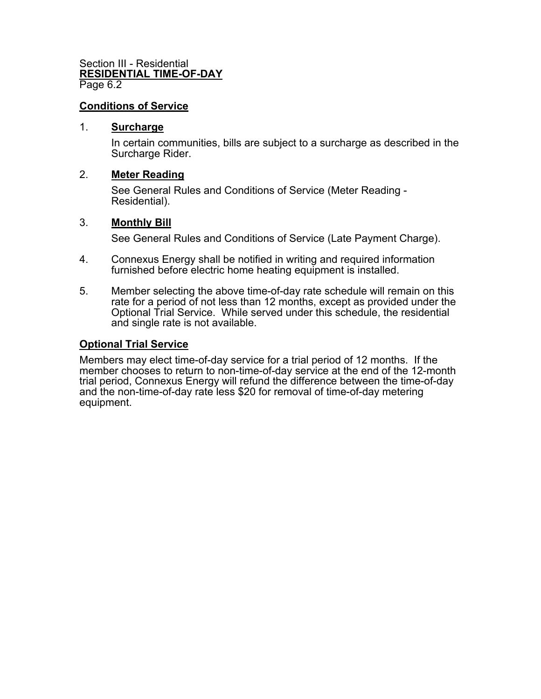#### Section III - Residential **RESIDENTIAL TIME-OF-DAY**  Page 6.2

#### **Conditions of Service**

#### 1. **Surcharge**

In certain communities, bills are subject to a surcharge as described in the Surcharge Rider.

#### 2. **Meter Reading**

See General Rules and Conditions of Service (Meter Reading - Residential).

#### 3. **Monthly Bill**

See General Rules and Conditions of Service (Late Payment Charge).

- 4. Connexus Energy shall be notified in writing and required information furnished before electric home heating equipment is installed.
- 5. Member selecting the above time-of-day rate schedule will remain on this rate for a period of not less than 12 months, except as provided under the Optional Trial Service. While served under this schedule, the residential and single rate is not available.

#### **Optional Trial Service**

Members may elect time-of-day service for a trial period of 12 months. If the member chooses to return to non-time-of-day service at the end of the 12-month trial period, Connexus Energy will refund the difference between the time-of-day and the non-time-of-day rate less \$20 for removal of time-of-day metering equipment.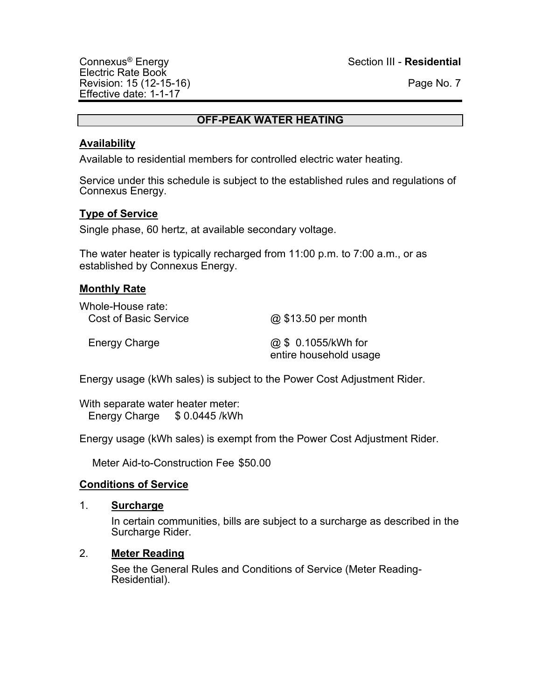## **OFF-PEAK WATER HEATING**

#### **Availability**

Available to residential members for controlled electric water heating.

Service under this schedule is subject to the established rules and regulations of Connexus Energy.

## **Type of Service**

Single phase, 60 hertz, at available secondary voltage.

The water heater is typically recharged from 11:00 p.m. to 7:00 a.m., or as established by Connexus Energy.

#### **Monthly Rate**

| Whole-House rate:<br><b>Cost of Basic Service</b> | @ \$13.50 per month                           |
|---------------------------------------------------|-----------------------------------------------|
| Energy Charge                                     | @ \$ 0.1055/kWh for<br>entire household usage |

Energy usage (kWh sales) is subject to the Power Cost Adjustment Rider.

With separate water heater meter: Energy Charge \$ 0.0445 /kWh

Energy usage (kWh sales) is exempt from the Power Cost Adjustment Rider.

Meter Aid-to-Construction Fee \$50.00

## **Conditions of Service**

#### 1. **Surcharge**

In certain communities, bills are subject to a surcharge as described in the Surcharge Rider.

#### 2. **Meter Reading**

See the General Rules and Conditions of Service (Meter Reading-<br>Residential).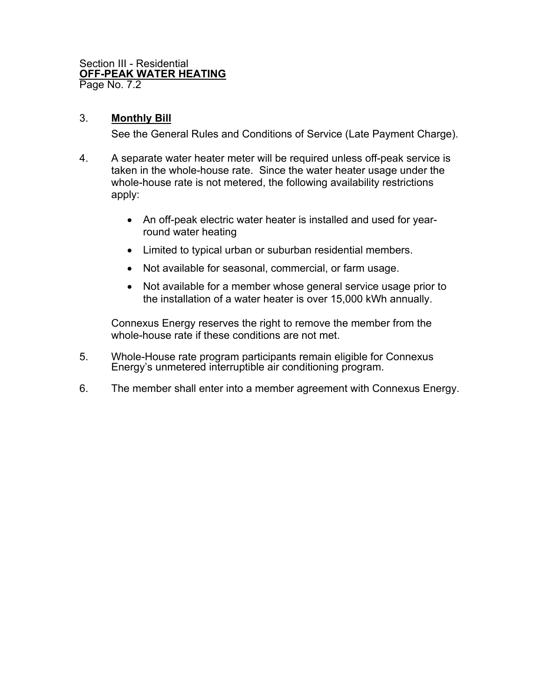#### Section III - Residential **OFF-PEAK WATER HEATING** Page No. 7.2

# 3. **Monthly Bill**

See the General Rules and Conditions of Service (Late Payment Charge).

- 4. A separate water heater meter will be required unless off-peak service is taken in the whole-house rate. Since the water heater usage under the whole-house rate is not metered, the following availability restrictions apply:
	- An off-peak electric water heater is installed and used for yearround water heating
	- Limited to typical urban or suburban residential members.
	- Not available for seasonal, commercial, or farm usage.
	- Not available for a member whose general service usage prior to the installation of a water heater is over 15,000 kWh annually.

Connexus Energy reserves the right to remove the member from the whole-house rate if these conditions are not met.

- 5. Whole-House rate program participants remain eligible for Connexus Energy's unmetered interruptible air conditioning program.
- 6. The member shall enter into a member agreement with Connexus Energy.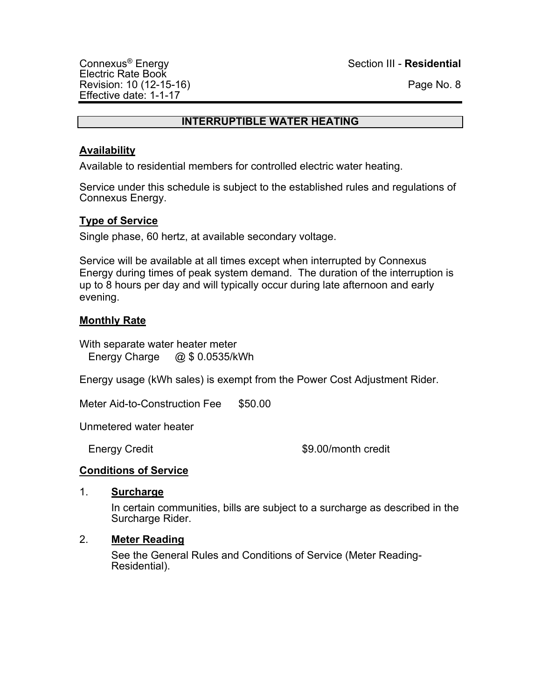#### **INTERRUPTIBLE WATER HEATING**

# **Availability**

Available to residential members for controlled electric water heating.

Service under this schedule is subject to the established rules and regulations of Connexus Energy.

# **Type of Service**

Single phase, 60 hertz, at available secondary voltage.

Service will be available at all times except when interrupted by Connexus Energy during times of peak system demand. The duration of the interruption is up to 8 hours per day and will typically occur during late afternoon and early evening.

# **Monthly Rate**

With separate water heater meter Energy Charge @ \$ 0.0535/kWh

Energy usage (kWh sales) is exempt from the Power Cost Adjustment Rider.

Meter Aid-to-Construction Fee \$50.00

Unmetered water heater

Energy Credit **\$9.00/month credit** 

## **Conditions of Service**

## 1. **Surcharge**

In certain communities, bills are subject to a surcharge as described in the Surcharge Rider.

## 2. **Meter Reading**

See the General Rules and Conditions of Service (Meter Reading-Residential).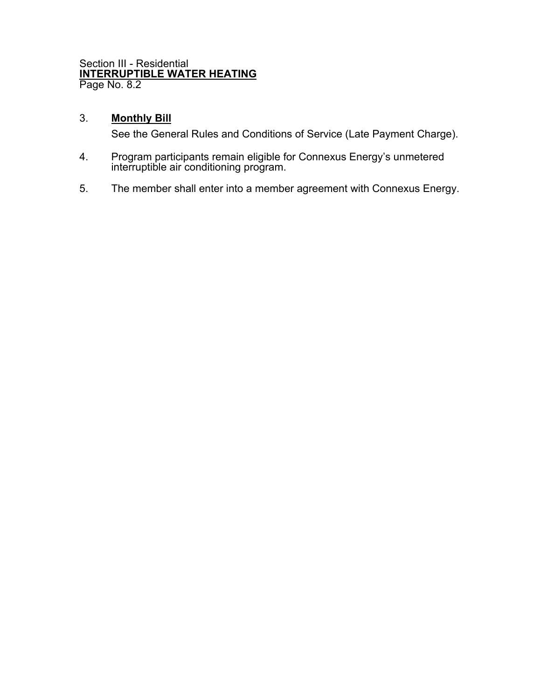#### Section III - Residential **INTERRUPTIBLE WATER HEATING** Page No. 8.2

# 3. **Monthly Bill**

- 4. Program participants remain eligible for Connexus Energy's unmetered interruptible air conditioning program.
- 5. The member shall enter into a member agreement with Connexus Energy.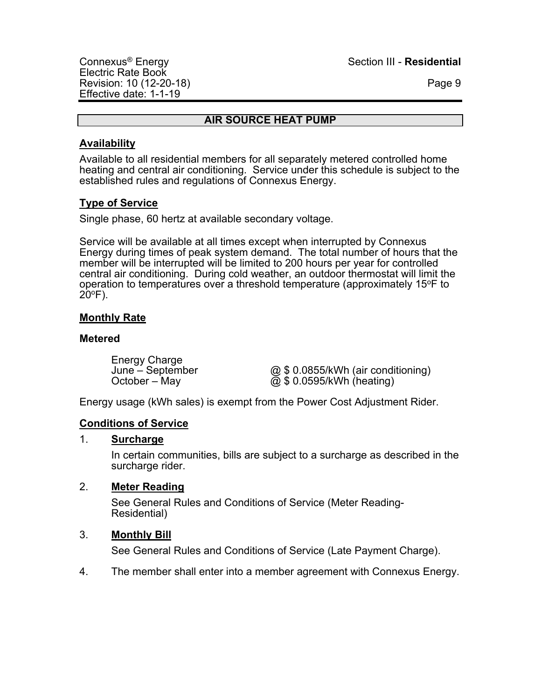## **AIR SOURCE HEAT PUMP**

# **Availability**

Available to all residential members for all separately metered controlled home heating and central air conditioning. Service under this schedule is subject to the established rules and regulations of Connexus Energy.

# **Type of Service**

Single phase, 60 hertz at available secondary voltage.

Service will be available at all times except when interrupted by Connexus Energy during times of peak system demand. The total number of hours that the member will be interrupted will be limited to 200 hours per year for controlled central air conditioning. During cold weather, an outdoor thermostat will limit the operation to temperatures over a threshold temperature (approximately 15 $\degree$ F to  $20^{\circ}$ F).

# **Monthly Rate**

#### **Metered**

Energy Charge<br>June – September

June – September  $\textcircled{a}$  \$ 0.0855/kWh (air conditioning)<br>October – May @ \$ 0.0595/kWh (heating)  $\overline{\omega}$  \$ 0.0595/kWh (heating)

Energy usage (kWh sales) is exempt from the Power Cost Adjustment Rider.

## **Conditions of Service**

## 1. **Surcharge**

In certain communities, bills are subject to a surcharge as described in the surcharge rider.

## 2. **Meter Reading**

See General Rules and Conditions of Service (Meter Reading- Residential)

## 3. **Monthly Bill**

See General Rules and Conditions of Service (Late Payment Charge).

4. The member shall enter into a member agreement with Connexus Energy.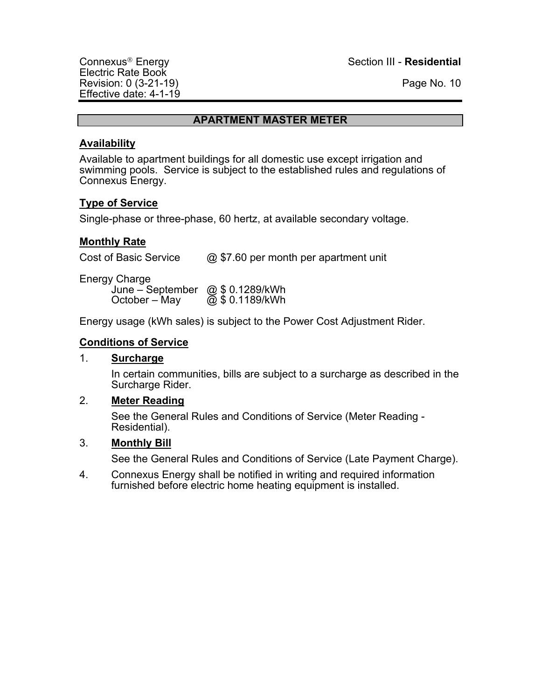Electric Rate Book Revision: 0 (3-21-19) **Page No. 10** Effective date: 4-1-19

Connexus<sup>®</sup> Energy Section III - **Residential** 

#### **APARTMENT MASTER METER**

#### **Availability**

Available to apartment buildings for all domestic use except irrigation and swimming pools. Service is subject to the established rules and regulations of Connexus Energy.

## **Type of Service**

Single-phase or three-phase, 60 hertz, at available secondary voltage.

#### **Monthly Rate**

Cost of Basic Service @ \$7.60 per month per apartment unit

Energy Charge June – September @ \$ 0.1289/kWh October – May  $\overline{Q}$  \$ 0.1189/kWh

Energy usage (kWh sales) is subject to the Power Cost Adjustment Rider.

#### **Conditions of Service**

#### 1. **Surcharge**

In certain communities, bills are subject to a surcharge as described in the Surcharge Rider.

#### 2. **Meter Reading**

See the General Rules and Conditions of Service (Meter Reading - Residential).

#### 3. **Monthly Bill**

See the General Rules and Conditions of Service (Late Payment Charge).

4. Connexus Energy shall be notified in writing and required information furnished before electric home heating equipment is installed.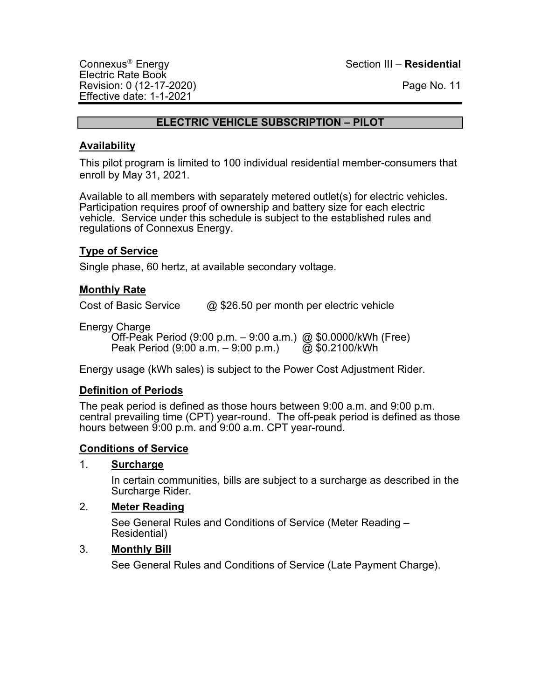## **ELECTRIC VEHICLE SUBSCRIPTION – PILOT**

## **Availability**

This pilot program is limited to 100 individual residential member-consumers that enroll by May 31, 2021.

Available to all members with separately metered outlet(s) for electric vehicles. Participation requires proof of ownership and battery size for each electric vehicle. Service under this schedule is subject to the established rules and regulations of Connexus Energy.

# **Type of Service**

Single phase, 60 hertz, at available secondary voltage.

## **Monthly Rate**

Cost of Basic Service  $\qquad \qquad \textcircled{a}$  \$26.50 per month per electric vehicle

Energy Charge

Off-Peak Period (9:00 p.m. – 9:00 a.m.) @ \$0.0000/kWh (Free)<br>Peak Period (9:00 a.m. – 9:00 p.m.) @ \$0.2100/kWh Peak Period  $(9:00 \text{ a.m.} - 9:00 \text{ p.m.})$ 

Energy usage (kWh sales) is subject to the Power Cost Adjustment Rider.

## **Definition of Periods**

The peak period is defined as those hours between 9:00 a.m. and 9:00 p.m. central prevailing time (CPT) year-round. The off-peak period is defined as those hours between 9:00 p.m. and 9:00 a.m. CPT year-round.

## **Conditions of Service**

## 1. **Surcharge**

In certain communities, bills are subject to a surcharge as described in the Surcharge Rider.

## 2. **Meter Reading**

See General Rules and Conditions of Service (Meter Reading – Residential)

## 3. **Monthly Bill**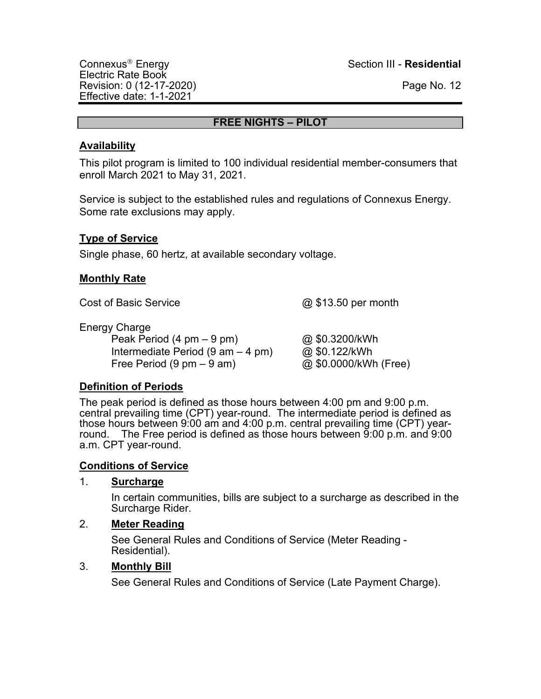## **FREE NIGHTS – PILOT**

## **Availability**

This pilot program is limited to 100 individual residential member-consumers that enroll March 2021 to May 31, 2021.

Service is subject to the established rules and regulations of Connexus Energy. Some rate exclusions may apply.

# **Type of Service**

Single phase, 60 hertz, at available secondary voltage.

## **Monthly Rate**

Cost of Basic Service **and Cost of Basic Service and Cost of Basic Service and Cost of Basic Service and Cost of Basic Service and Cost of Basic Service and Cost of Basic Service and Cost of Basic Service and** 

Energy Charge

Peak Period (4 pm – 9 pm)  $\omega$  \$0.3200/kWh Intermediate Period  $(9 \text{ am} - 4 \text{ pm})$   $\textcircled{a}$  \$0.122/kWh Free Period  $(9 \text{ pm} - 9 \text{ am})$   $@$  \$0.0000/kWh (Free)

# **Definition of Periods**

The peak period is defined as those hours between 4:00 pm and 9:00 p.m. central prevailing time (CPT) year-round. The intermediate period is defined as those hours between 9:00 am and 4:00 p.m. central prevailing time (CPT) yearround. The Free period is defined as those hours between 9:00 p.m. and 9:00 a.m. CPT year-round.

# **Conditions of Service**

## 1. **Surcharge**

In certain communities, bills are subject to a surcharge as described in the Surcharge Rider.

# 2. **Meter Reading**

See General Rules and Conditions of Service (Meter Reading -<br>Residential).

## 3. **Monthly Bill**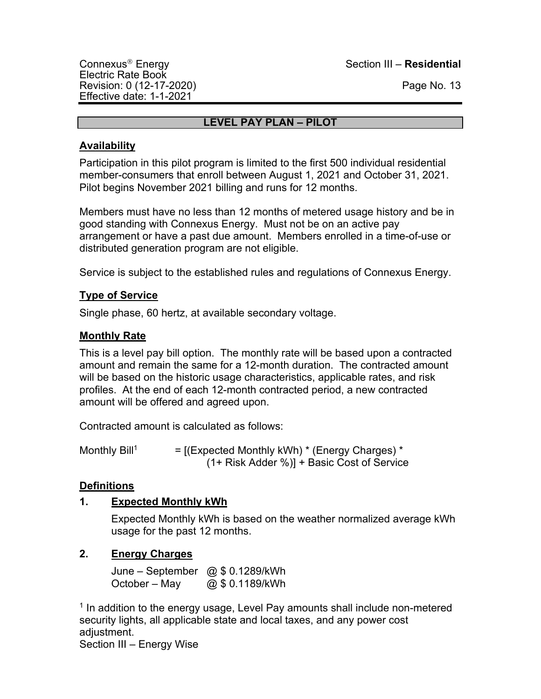Connexus<sup>Ò</sup> Energy Section III – **Residential**

# **LEVEL PAY PLAN – PILOT**

# **Availability**

Participation in this pilot program is limited to the first 500 individual residential member-consumers that enroll between August 1, 2021 and October 31, 2021. Pilot begins November 2021 billing and runs for 12 months.

Members must have no less than 12 months of metered usage history and be in good standing with Connexus Energy. Must not be on an active pay arrangement or have a past due amount. Members enrolled in a time-of-use or distributed generation program are not eligible.

Service is subject to the established rules and regulations of Connexus Energy.

# **Type of Service**

Single phase, 60 hertz, at available secondary voltage.

# **Monthly Rate**

This is a level pay bill option. The monthly rate will be based upon a contracted amount and remain the same for a 12-month duration. The contracted amount will be based on the historic usage characteristics, applicable rates, and risk profiles. At the end of each 12-month contracted period, a new contracted amount will be offered and agreed upon.

Contracted amount is calculated as follows:

Monthly Bill<sup>1</sup>  $=$  [(Expected Monthly kWh)  $*$  (Energy Charges)  $*$ (1+ Risk Adder %)] + Basic Cost of Service

# **Definitions**

# **1. Expected Monthly kWh**

Expected Monthly kWh is based on the weather normalized average kWh usage for the past 12 months.

# **2. Energy Charges**

June – September @ \$ 0.1289/kWh October – May  $@$0.1189/kWh$ 

<sup>1</sup> In addition to the energy usage, Level Pay amounts shall include non-metered security lights, all applicable state and local taxes, and any power cost adjustment. Section III – Energy Wise